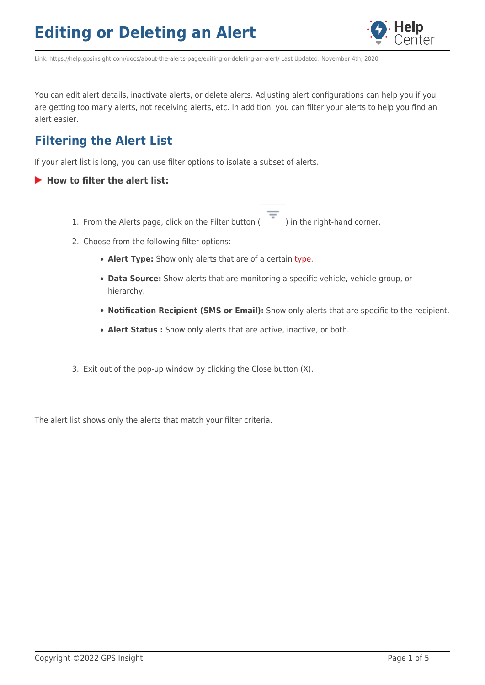

Link: https://help.gpsinsight.com/docs/about-the-alerts-page/editing-or-deleting-an-alert/ Last Updated: November 4th, 2020

You can edit alert details, inactivate alerts, or delete alerts. Adjusting alert configurations can help you if you are getting too many alerts, not receiving alerts, etc. In addition, you can filter your alerts to help you find an alert easier.

### **Filtering the Alert List**

If your alert list is long, you can use filter options to isolate a subset of alerts.

- **How to filter the alert list:**
	- 1. From the Alerts page, click on the Filter button ( $\overline{\phantom{a}}$ ) in the right-hand corner.

- 2. Choose from the following filter options:
	- **Alert Type:** Show only alerts that are of a certain [type.](https://help.gpsinsight.com/docs/about-the-new-portal/about-the-alerts-page/)
	- **Data Source:** Show alerts that are monitoring a specific vehicle, vehicle group, or hierarchy.
	- **Notification Recipient (SMS or Email):** Show only alerts that are specific to the recipient.
	- **Alert Status :** Show only alerts that are active, inactive, or both.
- 3. Exit out of the pop-up window by clicking the Close button (X).

The alert list shows only the alerts that match your filter criteria.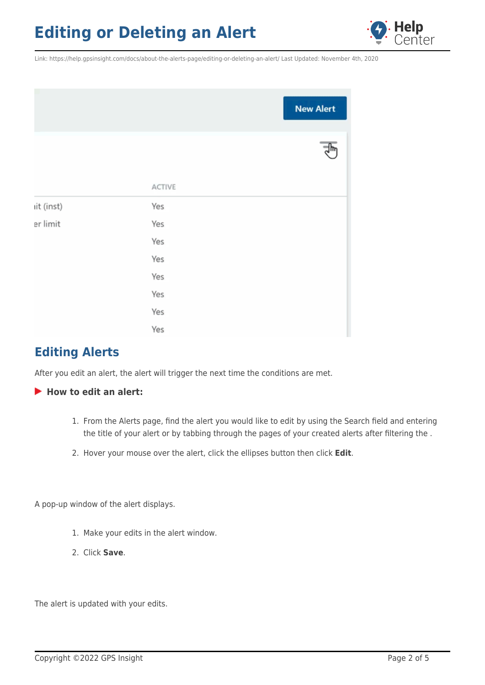

Link: https://help.gpsinsight.com/docs/about-the-alerts-page/editing-or-deleting-an-alert/ Last Updated: November 4th, 2020

|            |        | <b>New Alert</b> |
|------------|--------|------------------|
|            |        |                  |
|            | ACTIVE |                  |
| iit (inst) | Yes    |                  |
| er limit   | Yes    |                  |
|            | Yes    |                  |
|            | Yes    |                  |
|            | Yes    |                  |
|            | Yes    |                  |
|            | Yes    |                  |
|            | Yes    |                  |

### **Editing Alerts**

After you edit an alert, the alert will trigger the next time the conditions are met.

### **How to edit an alert:**

- 1. From the Alerts page, find the alert you would like to edit by using the Search field and entering the title of your alert or by tabbing through the pages of your created alerts after filtering the .
- 2. Hover your mouse over the alert, click the ellipses button then click **Edit**.

A pop-up window of the alert displays.

- 1. Make your edits in the alert window.
- 2. Click **Save**.

The alert is updated with your edits.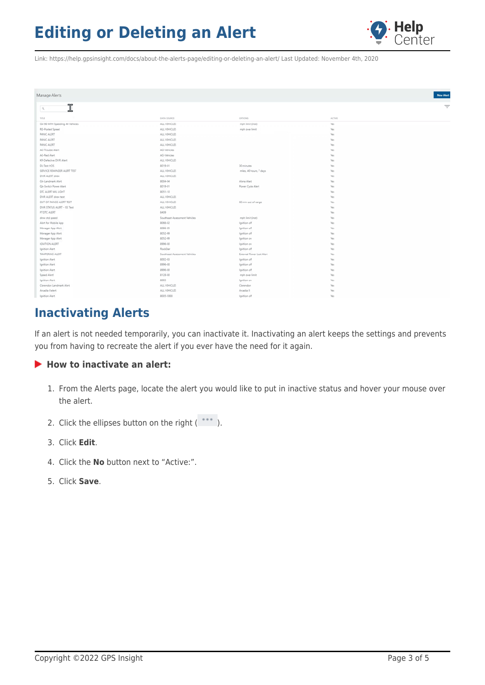

Link: https://help.gpsinsight.com/docs/about-the-alerts-page/editing-or-deleting-an-alert/ Last Updated: November 4th, 2020

| Manage Alerts                       |                               |                           | New Alert |
|-------------------------------------|-------------------------------|---------------------------|-----------|
| ሞ<br>$\alpha$<br>ᆚ                  |                               |                           | $\equiv$  |
| TITLE                               | DATA SOURCE                   | <b>CPTIONS</b>            | ACTIVE    |
| GA-90 MPH Speeding All Vehicles     | ALL VEHICLES                  | mph limit (inst)          | Yes       |
| RD-Posted Speed                     | ALL VEHICLES                  | mph over limit            | Yes       |
| PANIC ALERT                         | ALL VEHICLES                  |                           | Yes       |
| <b>PANIC ALERT</b>                  | ALL VEHICLES                  |                           | Yes       |
| <b>PANIC ALERT</b>                  | ALL VEHICLES                  |                           | Yes       |
| AG-Trouble Alert                    | AG-Vehicles                   |                           | Yes       |
| AG-Red Alert                        | AG-Vehicles                   |                           | Yes       |
| KR-Defective DVIR Alert             | ALL VEHICLES                  |                           | Yes       |
| DL-Test HOS                         | 8019-01                       | 30 minutes                | Yes       |
| SERVICE REMINDER ALERT TEST         | ALL VEHICLES                  | miles, 40 hours, 7 days   | Yes       |
| DVIR ALERT drew                     | ALL VEHICLES                  |                           | Yes       |
| GA-Landmark Alert                   | 8004-04                       | Alena Alert               | Yes       |
| QA-Switch Power Alert               | 8019-01                       | Power Cycle Alert         | Yes       |
| DTC ALERT MIL LIGHT                 | 8051-10                       |                           | Yes       |
| <b>DVIR ALERT</b> drew test         | ALL VEHICLES                  |                           | Yes       |
| OUT OF RANGE ALERT TEST             | ALL VEHICLES                  | 60 min out of range       | Yes       |
| <b>DVIR STATUS ALERT - ISE Test</b> | ALL VEHICLES.                 |                           | Yes       |
| FT DTC ALERT                        | 8409                          |                           | Yes       |
| drew std speed                      | Southeast Assessment Vehicles | mph limit (inst)          | Yes       |
| Alert for Mobile App                | 8066-02                       | Ignition off              | Yes       |
| Manager App Alert                   | 8086-85                       | Ignition off              | Yes       |
| Manager App Alert                   | 8052-99                       | Ignition off              | Yes       |
| Manager App Alert                   | 8052-99                       | Ignition on               | Yes       |
| IGNITION ALERT                      | 8996-00                       | Ignition on               | Yes       |
| Ignition Alert                      | RockStar                      | Ignition off              | Yes       |
| TAMPERING ALERT                     | Southeast Assessment Vehicles | External Power Lost Alert | Yes       |
| Ignition Alert                      | 8002-03                       | Ignition off              | Yes       |
| Ignition Alert                      | 8996-00                       | Ignition off              | Yes       |
| Ignition Alert                      | 8996-00                       | Ignition off              | Yes       |
| Speed Alert!                        | 8128-00                       | mph over limit            | Yes       |
| Ignition Alert                      | 8003                          | Ignition on               | Yes       |
| Clarendon Landmark Alert            | ALL VEHICLES                  | Clarendon                 | Yes       |
| Arcadia II alert                    | ALL VEHICLES                  | Arcadia II                | Yes       |
| Ignition Alert                      | 8005-5000                     | Ignition off              | Yes       |

### **Inactivating Alerts**

If an alert is not needed temporarily, you can inactivate it. Inactivating an alert keeps the settings and prevents you from having to recreate the alert if you ever have the need for it again.

#### ▶ How to inactivate an alert:

- 1. From the Alerts page, locate the alert you would like to put in inactive status and hover your mouse over the alert.
- 2. Click the ellipses button on the right  $(*...')$ .
- 3. Click **Edit**.
- 4. Click the **No** button next to "Active:".
- 5. Click **Save**.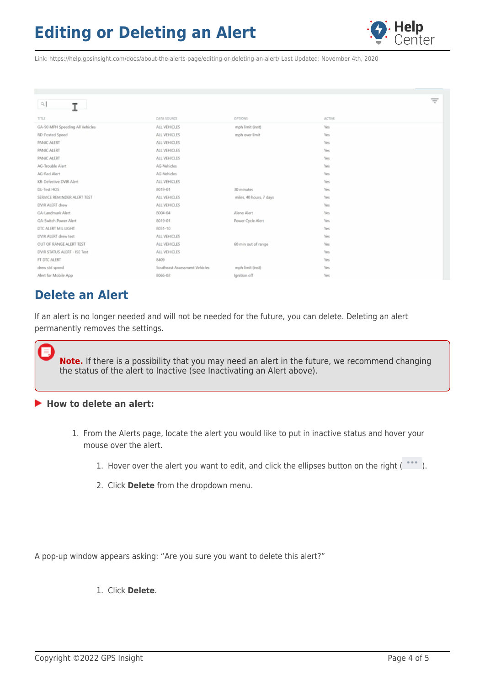

Link: https://help.gpsinsight.com/docs/about-the-alerts-page/editing-or-deleting-an-alert/ Last Updated: November 4th, 2020

| $Q_{\rm c}$<br>I                |                               |                         |            | Ξ |
|---------------------------------|-------------------------------|-------------------------|------------|---|
| TITLE                           | DATA SOURCE                   | OPTIONS                 | ACTIVE     |   |
| GA-90 MPH Speeding All Vehicles | ALL VEHICLES                  | mph limit (inst)        | Yes        |   |
| RD-Posted Speed                 | ALL VEHICLES                  | mph over limit          | Yes        |   |
| PANIC ALERT                     | ALL VEHICLES                  |                         | Yes        |   |
| PANIC ALERT                     | ALL VEHICLES                  |                         | Yes        |   |
| PANIC ALERT                     | ALL VEHICLES                  |                         | Yes        |   |
| AG-Trouble Alert                | AG-Vehicles                   |                         | Yes        |   |
| AG-Red Alert                    | AG-Vehicles                   |                         | Yes        |   |
| KR-Defective DVIR Alert         | ALL VEHICLES                  |                         | Yes        |   |
| DL-Test HOS                     | 8019-01                       | 30 minutes              | Yes        |   |
| SERVICE REMINDER ALERT TEST     | ALL VEHICLES                  | miles, 40 hours, 7 days | Yes        |   |
| DVIR ALERT drew                 | ALL VEHICLES                  |                         | <b>Yes</b> |   |
| GA-Landmark Alert               | 8004-04                       | Alena Alert             | <b>Yes</b> |   |
| QA-Switch Power Alert           | 8019-01                       | Power Cycle Alert       | Yes        |   |
| DTC ALERT MIL LIGHT             | 8051-10                       |                         | Yes        |   |
| DVIR ALERT drew test            | ALL VEHICLES                  |                         | Yes        |   |
| OUT OF RANGE ALERT TEST         | ALL VEHICLES                  | 60 min out of range     | <b>Yes</b> |   |
| DVIR STATUS ALERT - ISE Test    | ALL VEHICLES                  |                         | Yes        |   |
| FT DTC ALERT                    | 8409                          |                         | Yes        |   |
| drew std speed                  | Southeast Assessment Vehicles | mph limit (inst)        | Yes        |   |
| Alert for Mobile App            | 8066-02                       | Ignition off            | Yes        |   |

### **Delete an Alert**

If an alert is no longer needed and will not be needed for the future, you can delete. Deleting an alert permanently removes the settings.

**Note.** If there is a possibility that you may need an alert in the future, we recommend changing the status of the alert to Inactive (see Inactivating an Alert above).

#### **How to delete an alert:**

- 1. From the Alerts page, locate the alert you would like to put in inactive status and hover your mouse over the alert.
	- 1. Hover over the alert you want to edit, and click the ellipses button on the right  $($  \*\*\*  $)$ .
	- 2. Click **Delete** from the dropdown menu.

A pop-up window appears asking: "Are you sure you want to delete this alert?"

1. Click **Delete**.